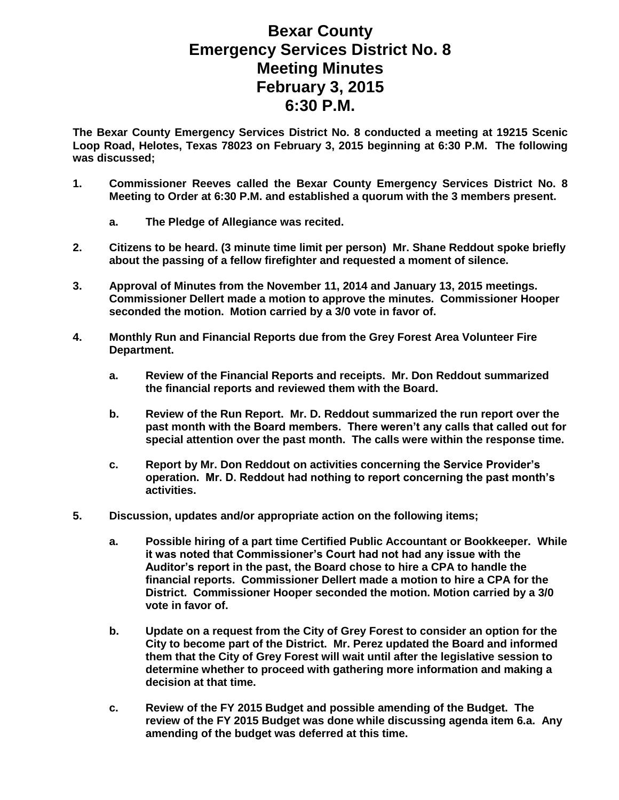## **Bexar County Emergency Services District No. 8 Meeting Minutes February 3, 2015 6:30 P.M.**

**The Bexar County Emergency Services District No. 8 conducted a meeting at 19215 Scenic Loop Road, Helotes, Texas 78023 on February 3, 2015 beginning at 6:30 P.M. The following was discussed;**

- **1. Commissioner Reeves called the Bexar County Emergency Services District No. 8 Meeting to Order at 6:30 P.M. and established a quorum with the 3 members present.** 
	- **a. The Pledge of Allegiance was recited.**
- **2. Citizens to be heard. (3 minute time limit per person) Mr. Shane Reddout spoke briefly about the passing of a fellow firefighter and requested a moment of silence.**
- **3. Approval of Minutes from the November 11, 2014 and January 13, 2015 meetings. Commissioner Dellert made a motion to approve the minutes. Commissioner Hooper seconded the motion. Motion carried by a 3/0 vote in favor of.**
- **4. Monthly Run and Financial Reports due from the Grey Forest Area Volunteer Fire Department.**
	- **a. Review of the Financial Reports and receipts. Mr. Don Reddout summarized the financial reports and reviewed them with the Board.**
	- **b. Review of the Run Report. Mr. D. Reddout summarized the run report over the past month with the Board members. There weren't any calls that called out for special attention over the past month. The calls were within the response time.**
	- **c. Report by Mr. Don Reddout on activities concerning the Service Provider's operation. Mr. D. Reddout had nothing to report concerning the past month's activities.**
- **5. Discussion, updates and/or appropriate action on the following items;**
	- **a. Possible hiring of a part time Certified Public Accountant or Bookkeeper. While it was noted that Commissioner's Court had not had any issue with the Auditor's report in the past, the Board chose to hire a CPA to handle the financial reports. Commissioner Dellert made a motion to hire a CPA for the District. Commissioner Hooper seconded the motion. Motion carried by a 3/0 vote in favor of.**
	- **b. Update on a request from the City of Grey Forest to consider an option for the City to become part of the District. Mr. Perez updated the Board and informed them that the City of Grey Forest will wait until after the legislative session to determine whether to proceed with gathering more information and making a decision at that time.**
	- **c. Review of the FY 2015 Budget and possible amending of the Budget. The review of the FY 2015 Budget was done while discussing agenda item 6.a. Any amending of the budget was deferred at this time.**